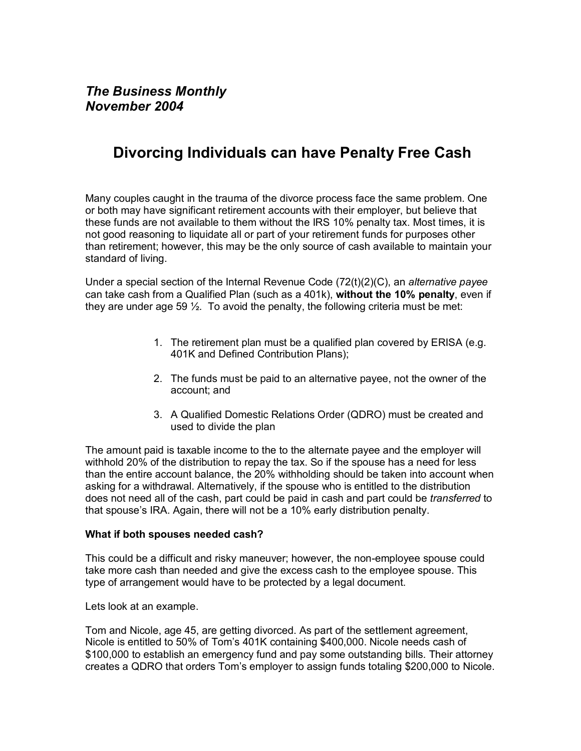## **Divorcing Individuals can have Penalty Free Cash**

Many couples caught in the trauma of the divorce process face the same problem. One or both may have significant retirement accounts with their employer, but believe that these funds are not available to them without the IRS 10% penalty tax. Most times, it is not good reasoning to liquidate all or part of your retirement funds for purposes other than retirement; however, this may be the only source of cash available to maintain your standard of living.

Under a special section of the Internal Revenue Code (72(t)(2)(C), an *alternative payee* can take cash from a Qualified Plan (such as a 401k), **without the 10% penalty**, even if they are under age 59  $\frac{1}{2}$ . To avoid the penalty, the following criteria must be met:

- 1. The retirement plan must be a qualified plan covered by ERISA (e.g. 401K and Defined Contribution Plans);
- 2. The funds must be paid to an alternative payee, not the owner of the account; and
- 3. A Qualified Domestic Relations Order (QDRO) must be created and used to divide the plan

The amount paid is taxable income to the to the alternate payee and the employer will withhold 20% of the distribution to repay the tax. So if the spouse has a need for less than the entire account balance, the 20% withholding should be taken into account when asking for a withdrawal. Alternatively, if the spouse who is entitled to the distribution does not need all of the cash, part could be paid in cash and part could be *transferred* to that spouse's IRA. Again, there will not be a 10% early distribution penalty.

## **What if both spouses needed cash?**

This could be a difficult and risky maneuver; however, the non-employee spouse could take more cash than needed and give the excess cash to the employee spouse. This type of arrangement would have to be protected by a legal document.

Lets look at an example.

Tom and Nicole, age 45, are getting divorced. As part of the settlement agreement, Nicole is entitled to 50% of Tomís 401K containing \$400,000. Nicole needs cash of \$100,000 to establish an emergency fund and pay some outstanding bills. Their attorney creates a QDRO that orders Tomís employer to assign funds totaling \$200,000 to Nicole.